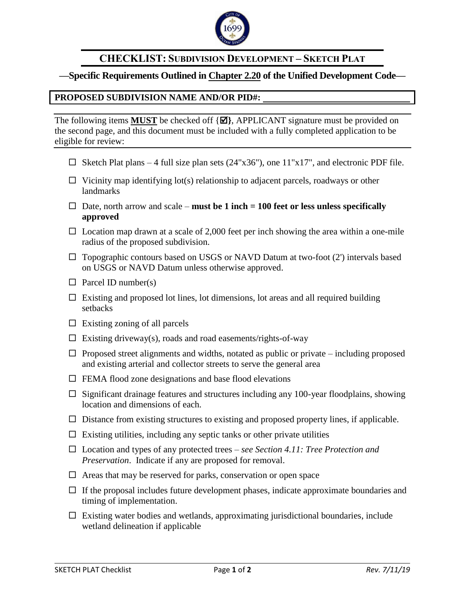

# **CHECKLIST: SUBDIVISION DEVELOPMENT – SKETCH PLAT**

### **—Specific Requirements Outlined in Chapter 2.20 of the Unified Development Code—**

# **PROPOSED SUBDIVISION NAME AND/OR PID#:**

The following items **MUST** be checked off  $\{\Xi\}$ , APPLICANT signature must be provided on the second page, and this document must be included with a fully completed application to be eligible for review:

- $\Box$  Sketch Plat plans 4 full size plan sets (24"x36"), one 11"x17", and electronic PDF file.
- $\Box$  Vicinity map identifying lot(s) relationship to adjacent parcels, roadways or other landmarks
- $\Box$  Date, north arrow and scale **must be 1 inch = 100 feet or less unless specifically approved**
- $\square$  Location map drawn at a scale of 2,000 feet per inch showing the area within a one-mile radius of the proposed subdivision.
- $\Box$  Topographic contours based on USGS or NAVD Datum at two-foot (2') intervals based on USGS or NAVD Datum unless otherwise approved.
- $\Box$  Parcel ID number(s)
- $\Box$  Existing and proposed lot lines, lot dimensions, lot areas and all required building setbacks
- $\Box$  Existing zoning of all parcels
- $\square$  Existing driveway(s), roads and road easements/rights-of-way
- $\Box$  Proposed street alignments and widths, notated as public or private including proposed and existing arterial and collector streets to serve the general area
- $\Box$  FEMA flood zone designations and base flood elevations
- $\Box$  Significant drainage features and structures including any 100-year floodplains, showing location and dimensions of each.
- $\square$  Distance from existing structures to existing and proposed property lines, if applicable.
- $\Box$  Existing utilities, including any septic tanks or other private utilities
- □ Location and types of any protected trees *see Section 4.11: Tree Protection and Preservation*. Indicate if any are proposed for removal.
- $\Box$  Areas that may be reserved for parks, conservation or open space
- $\Box$  If the proposal includes future development phases, indicate approximate boundaries and timing of implementation.
- $\Box$  Existing water bodies and wetlands, approximating jurisdictional boundaries, include wetland delineation if applicable